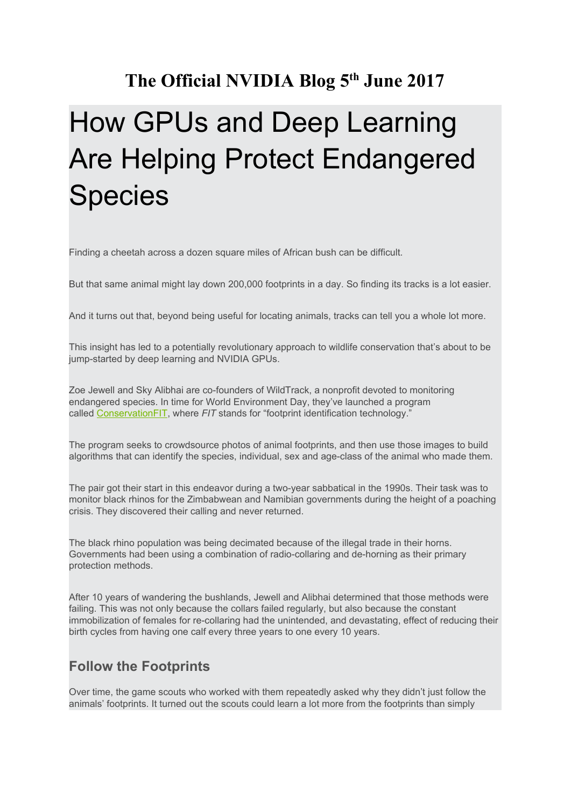## **The Official NVIDIA Blog 5 th June 2017**

## How GPUs and Deep Learning Are Helping Protect Endangered Species

Finding a cheetah across a dozen square miles of African bush can be difficult.

But that same animal might lay down 200,000 footprints in a day. So finding its tracks is a lot easier.

And it turns out that, beyond being useful for locating animals, tracks can tell you a whole lot more.

This insight has led to a potentially revolutionary approach to wildlife conservation that's about to be jump-started by deep learning and NVIDIA GPUs.

Zoe Jewell and Sky Alibhai are co-founders of WildTrack, a nonprofit devoted to monitoring endangered species. In time for World Environment Day, they've launched a program calle[d](http://conservationfit.org/) [ConservationFIT,](http://conservationfit.org/) where *FIT* stands for "footprint identification technology."

The program seeks to crowdsource photos of animal footprints, and then use those images to build algorithms that can identify the species, individual, sex and age-class of the animal who made them.

The pair got their start in this endeavor during a two-year sabbatical in the 1990s. Their task was to monitor black rhinos for the Zimbabwean and Namibian governments during the height of a poaching crisis. They discovered their calling and never returned.

The black rhino population was being decimated because of the illegal trade in their horns. Governments had been using a combination of radio-collaring and de-horning as their primary protection methods.

After 10 years of wandering the bushlands, Jewell and Alibhai determined that those methods were failing. This was not only because the collars failed regularly, but also because the constant immobilization of females for re-collaring had the unintended, and devastating, effect of reducing their birth cycles from having one calf every three years to one every 10 years.

## **Follow the Footprints**

Over time, the game scouts who worked with them repeatedly asked why they didn't just follow the animals' footprints. It turned out the scouts could learn a lot more from the footprints than simply